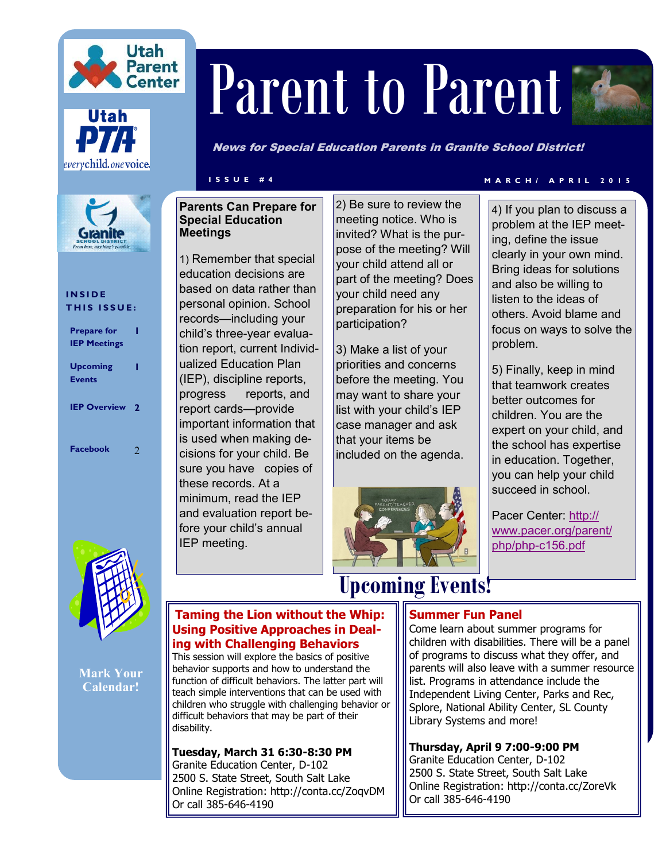





#### **I N S I D E THIS ISSUE:**

| <b>Prepare for</b><br><b>IEP Meetings</b> |     |
|-------------------------------------------|-----|
| <b>Upcoming</b><br><b>Events</b>          |     |
| <b>IEP Overview</b>                       | - 2 |
| <b>Facebook</b>                           | 2   |



**Mark Your Calendar!**

# Parent to Parent

News for Special Education Parents in Granite School District!

#### **Parents Can Prepare for Special Education Meetings**

1) Remember that special education decisions are based on data rather than personal opinion. School records—including your child's three-year evaluation report, current Individualized Education Plan (IEP), discipline reports, progress reports, and report cards—provide important information that is used when making decisions for your child. Be sure you have copies of these records. At a minimum, read the IEP and evaluation report before your child's annual IEP meeting.

2) Be sure to review the meeting notice. Who is invited? What is the purpose of the meeting? Will your child attend all or part of the meeting? Does your child need any preparation for his or her participation?

3) Make a list of your priorities and concerns before the meeting. You may want to share your list with your child's IEP case manager and ask that your items be included on the agenda.



### **I S S U E # 4 M A R C H / A P R I L 2 0 1 5**

4) If you plan to discuss a problem at the IEP meeting, define the issue clearly in your own mind. Bring ideas for solutions and also be willing to listen to the ideas of others. Avoid blame and focus on ways to solve the problem.

5) Finally, keep in mind that teamwork creates better outcomes for children. You are the expert on your child, and the school has expertise in education. Together, you can help your child succeed in school.

Pacer Center: [http://](http://www.pacer.org/parent/php/php-c156.pdf) [www.pacer.org/parent/](http://www.pacer.org/parent/php/php-c156.pdf) php/php-[c156.pdf](http://www.pacer.org/parent/php/php-c156.pdf)

#### **Taming the Lion without the Whip: Using Positive Approaches in Dealing with Challenging Behaviors**

This session will explore the basics of positive behavior supports and how to understand the function of difficult behaviors. The latter part will teach simple interventions that can be used with children who struggle with challenging behavior or difficult behaviors that may be part of their disability.

**Tuesday, March 31 6:30-8:30 PM**  Granite Education Center, D-102 2500 S. State Street, South Salt Lake Online Registration: http://conta.cc/ZoqvDM Or call 385-646-4190

# **Upcoming Events!**

#### **Summer Fun Panel**

Come learn about summer programs for children with disabilities. There will be a panel of programs to discuss what they offer, and parents will also leave with a summer resource list. Programs in attendance include the Independent Living Center, Parks and Rec, Splore, National Ability Center, SL County Library Systems and more!

**Thursday, April 9 7:00-9:00 PM** Granite Education Center, D-102 2500 S. State Street, South Salt Lake Online Registration: http://conta.cc/ZoreVk Or call 385-646-4190